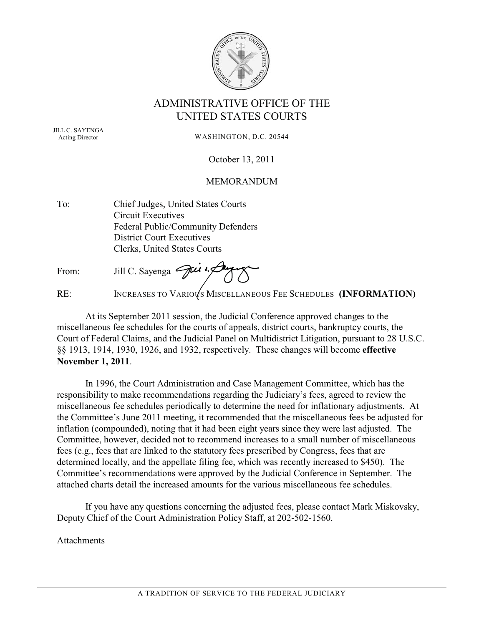

### ADMINISTRATIVE OFFICE OF THE UNITED STATES COURTS

JILL C. SAYENGA Acting Director

WASHINGTON, D.C. 20544

October 13, 2011

#### MEMORANDUM

To: Chief Judges, United States Courts Circuit Executives Federal Public/Community Defenders District Court Executives Clerks, United States Courts

From: Jill C. Sayenga Jui

RE: INCREASES TO VARIOUS MISCELLANEOUS FEE SCHEDULES **(INFORMATION)** 

At its September 2011 session, the Judicial Conference approved changes to the miscellaneous fee schedules for the courts of appeals, district courts, bankruptcy courts, the Court of Federal Claims, and the Judicial Panel on Multidistrict Litigation, pursuant to 28 U.S.C. §§ 1913, 1914, 1930, 1926, and 1932, respectively. These changes will become **effective November 1, 2011**.

In 1996, the Court Administration and Case Management Committee, which has the responsibility to make recommendations regarding the Judiciary's fees, agreed to review the miscellaneous fee schedules periodically to determine the need for inflationary adjustments. At the Committee's June 2011 meeting, it recommended that the miscellaneous fees be adjusted for inflation (compounded), noting that it had been eight years since they were last adjusted. The Committee, however, decided not to recommend increases to a small number of miscellaneous fees (e.g., fees that are linked to the statutory fees prescribed by Congress, fees that are determined locally, and the appellate filing fee, which was recently increased to \$450). The Committee's recommendations were approved by the Judicial Conference in September. The attached charts detail the increased amounts for the various miscellaneous fee schedules.

If you have any questions concerning the adjusted fees, please contact Mark Miskovsky, Deputy Chief of the Court Administration Policy Staff, at 202-502-1560.

**Attachments**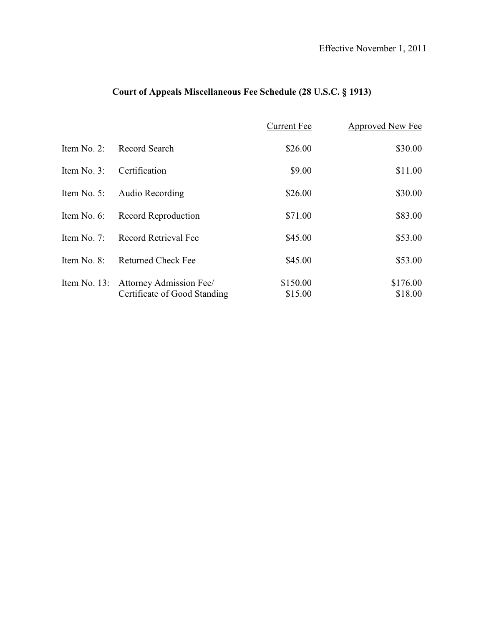# **Court of Appeals Miscellaneous Fee Schedule (28 U.S.C. § 1913)**

|             |                                      | Current Fee | Approved New Fee |
|-------------|--------------------------------------|-------------|------------------|
| Item No. 2: | Record Search                        | \$26.00     | \$30.00          |
| Item No. 3: | Certification                        | \$9.00      | \$11.00          |
| Item No. 5: | Audio Recording                      | \$26.00     | \$30.00          |
| Item No. 6: | Record Reproduction                  | \$71.00     | \$83.00          |
| Item No. 7: | Record Retrieval Fee                 | \$45.00     | \$53.00          |
| Item No. 8: | <b>Returned Check Fee</b>            | \$45.00     | \$53.00          |
|             | Item No. 13: Attorney Admission Fee/ | \$150.00    | \$176.00         |
|             | Certificate of Good Standing         | \$15.00     | \$18.00          |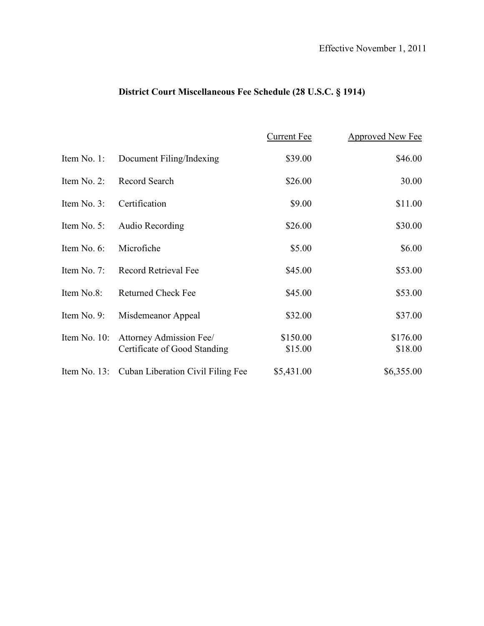# **District Court Miscellaneous Fee Schedule (28 U.S.C. § 1914)**

|              |                                                         | <b>Current Fee</b>  | Approved New Fee    |
|--------------|---------------------------------------------------------|---------------------|---------------------|
| Item No. 1:  | Document Filing/Indexing                                | \$39.00             | \$46.00             |
| Item No. 2:  | Record Search                                           | \$26.00             | 30.00               |
| Item No. 3:  | Certification                                           | \$9.00              | \$11.00             |
| Item No. 5:  | Audio Recording                                         | \$26.00             | \$30.00             |
| Item No. 6:  | Microfiche                                              | \$5.00              | \$6.00              |
| Item No. 7:  | Record Retrieval Fee                                    | \$45.00             | \$53.00             |
| Item No.8:   | <b>Returned Check Fee</b>                               | \$45.00             | \$53.00             |
| Item No. 9:  | Misdemeanor Appeal                                      | \$32.00             | \$37.00             |
| Item No. 10: | Attorney Admission Fee/<br>Certificate of Good Standing | \$150.00<br>\$15.00 | \$176.00<br>\$18.00 |
|              | Item No. 13: Cuban Liberation Civil Filing Fee          | \$5,431.00          | \$6,355.00          |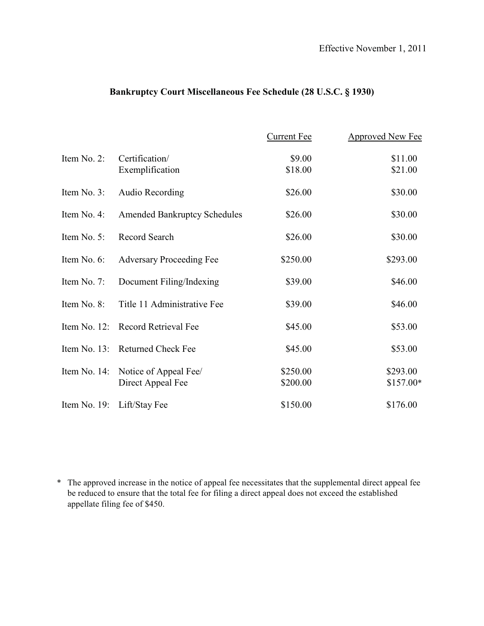### **Bankruptcy Court Miscellaneous Fee Schedule (28 U.S.C. § 1930)**

|                 |                                            | <b>Current Fee</b>   | Approved New Fee       |
|-----------------|--------------------------------------------|----------------------|------------------------|
| Item No. 2:     | Certification/<br>Exemplification          | \$9.00<br>\$18.00    | \$11.00<br>\$21.00     |
| Item No. 3:     | <b>Audio Recording</b>                     | \$26.00              | \$30.00                |
| Item No. 4:     | <b>Amended Bankruptcy Schedules</b>        | \$26.00              | \$30.00                |
| Item No. 5:     | Record Search                              | \$26.00              | \$30.00                |
| Item No. 6:     | <b>Adversary Proceeding Fee</b>            | \$250.00             | \$293.00               |
| Item No. 7:     | Document Filing/Indexing                   | \$39.00              | \$46.00                |
| Item No. 8:     | Title 11 Administrative Fee                | \$39.00              | \$46.00                |
| Item No. $12$ : | <b>Record Retrieval Fee</b>                | \$45.00              | \$53.00                |
|                 | Item No. 13: Returned Check Fee            | \$45.00              | \$53.00                |
| Item No. 14:    | Notice of Appeal Fee/<br>Direct Appeal Fee | \$250.00<br>\$200.00 | \$293.00<br>$$157.00*$ |
|                 | Item No. 19: Lift/Stay Fee                 | \$150.00             | \$176.00               |

\* The approved increase in the notice of appeal fee necessitates that the supplemental direct appeal fee be reduced to ensure that the total fee for filing a direct appeal does not exceed the established appellate filing fee of \$450.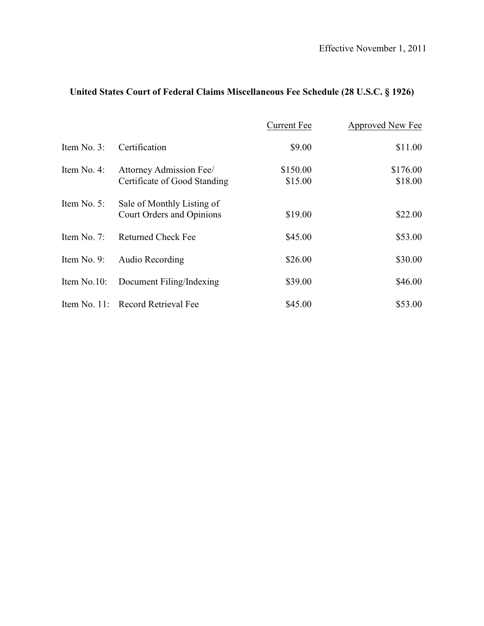|  | United States Court of Federal Claims Miscellaneous Fee Schedule (28 U.S.C. § 1926) |  |  |  |
|--|-------------------------------------------------------------------------------------|--|--|--|
|--|-------------------------------------------------------------------------------------|--|--|--|

|               |                                                         | <b>Current Fee</b>  | Approved New Fee    |
|---------------|---------------------------------------------------------|---------------------|---------------------|
| Item No. 3:   | Certification                                           | \$9.00              | \$11.00             |
| Item No. 4:   | Attorney Admission Fee/<br>Certificate of Good Standing | \$150.00<br>\$15.00 | \$176.00<br>\$18.00 |
| Item No. 5:   | Sale of Monthly Listing of<br>Court Orders and Opinions | \$19.00             | \$22.00             |
| Item No. $7:$ | <b>Returned Check Fee</b>                               | \$45.00             | \$53.00             |
| Item No. 9:   | Audio Recording                                         | \$26.00             | \$30.00             |
| Item No.10:   | Document Filing/Indexing                                | \$39.00             | \$46.00             |
|               | Item No. 11: Record Retrieval Fee                       | \$45.00             | \$53.00             |